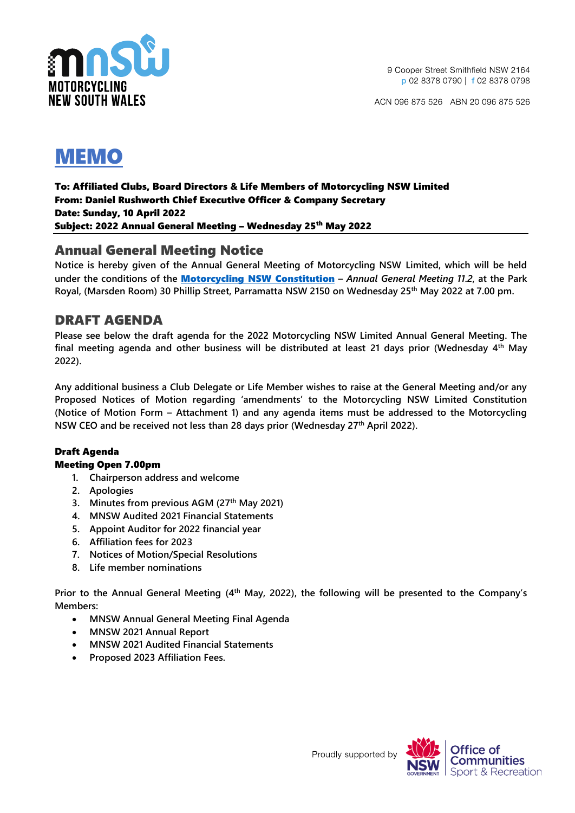



To: Affiliated Clubs, Board Directors & Life Members of Motorcycling NSW Limited From: Daniel Rushworth Chief Executive Officer & Company Secretary Date: Sunday, 10 April 2022 Subject: 2022 Annual General Meeting - Wednesday 25<sup>th</sup> May 2022

## Annual General Meeting Notice

**Notice is hereby given of the Annual General Meeting of Motorcycling NSW Limited, which will be held under the conditions of the** [Motorcycling NSW](https://motorcycling.com.au/about-us/constitution/) Constitution **–** *Annual General Meeting 11.2***, at the Park Royal, (Marsden Room) 30 Phillip Street, Parramatta NSW 2150 on Wednesday 25th May 2022 at 7.00 pm.**

## DRAFT AGENDA

**Please see below the draft agenda for the 2022 Motorcycling NSW Limited Annual General Meeting. The final meeting agenda and other business will be distributed at least 21 days prior (Wednesday 4th May 2022).** 

**Any additional business a Club Delegate or Life Member wishes to raise at the General Meeting and/or any Proposed Notices of Motion regarding 'amendments' to the Motorcycling NSW Limited Constitution (Notice of Motion Form – Attachment 1) and any agenda items must be addressed to the Motorcycling NSW CEO and be received not less than 28 days prior (Wednesday 27th April 2022).**

### Draft Agenda

#### Meeting Open 7.00pm

- **1. Chairperson address and welcome**
- **2. Apologies**
- **3. Minutes from previous AGM (27th May 2021)**
- **4. MNSW Audited 2021 Financial Statements**
- **5. Appoint Auditor for 2022 financial year**
- **6. Affiliation fees for 2023**
- **7. Notices of Motion/Special Resolutions**
- **8. Life member nominations**

**Prior to the Annual General Meeting (4 th May, 2022), the following will be presented to the Company's Members:**

- **MNSW Annual General Meeting Final Agenda**
- **MNSW 2021 Annual Report**
- **MNSW 2021 Audited Financial Statements**
- **Proposed 2023 Affiliation Fees.**

Proudly supported by

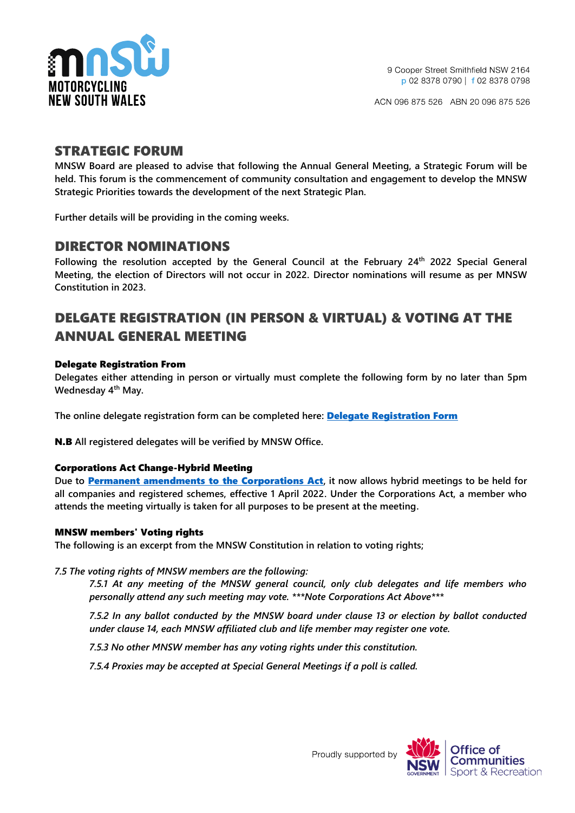

## STRATEGIC FORUM

**MNSW Board are pleased to advise that following the Annual General Meeting, a Strategic Forum will be held. This forum is the commencement of community consultation and engagement to develop the MNSW Strategic Priorities towards the development of the next Strategic Plan.**

**Further details will be providing in the coming weeks.**

## DIRECTOR NOMINATIONS

**Following the resolution accepted by the General Council at the February 24th 2022 Special General Meeting, the election of Directors will not occur in 2022. Director nominations will resume as per MNSW Constitution in 2023.**

## DELGATE REGISTRATION (IN PERSON & VIRTUAL) & VOTING AT THE ANNUAL GENERAL MEETING

#### Delegate Registration From

**Delegates either attending in person or virtually must complete the following form by no later than 5pm Wednesday 4th May.** 

**The online delegate registration form can be completed here:** Delegate [Registration Form](https://form.jotform.com/220958615161861)

N.B **All registered delegates will be verified by MNSW Office.**

#### Corporations Act Change-Hybrid Meeting

**Due to** [Permanent amendments to the Corporations Act](https://asic.gov.au/regulatory-resources/corporate-governance/shareholder-engagement/faqs-virtual-meetings-for-companies-and-registered-schemes-held-between-1-april-and-30-june-2022/)**, it now allows hybrid meetings to be held for all companies and registered schemes, effective 1 April 2022. Under the Corporations Act, a member who attends the meeting virtually is taken for all purposes to be present at the meeting.**

#### MNSW members' Voting rights

**The following is an excerpt from the MNSW Constitution in relation to voting rights;**

#### *7.5 The voting rights of MNSW members are the following:*

*7.5.1 At any meeting of the MNSW general council, only club delegates and life members who personally attend any such meeting may vote. \*\*\*Note Corporations Act Above\*\*\**

*7.5.2 In any ballot conducted by the MNSW board under clause 13 or election by ballot conducted under clause 14, each MNSW affiliated club and life member may register one vote.*

*7.5.3 No other MNSW member has any voting rights under this constitution.*

*7.5.4 Proxies may be accepted at Special General Meetings if a poll is called.*



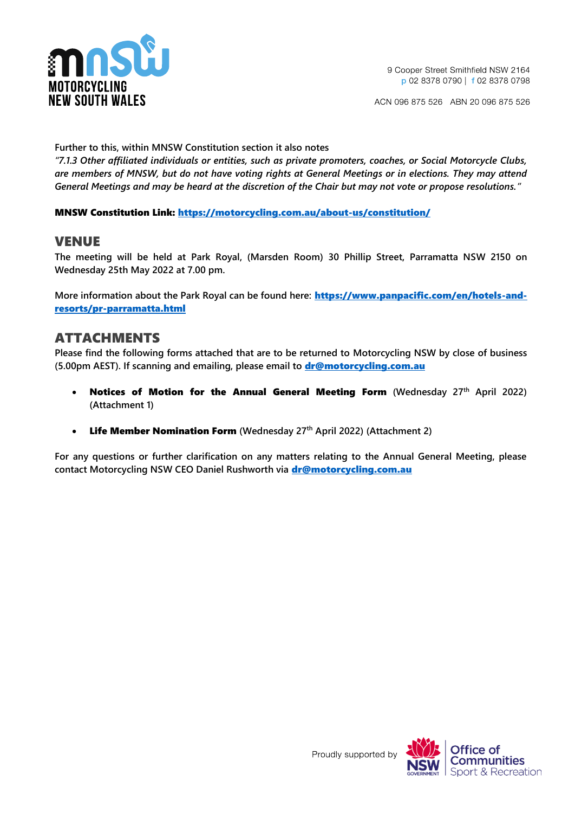

**Further to this, within MNSW Constitution section it also notes**

*"7.1.3 Other affiliated individuals or entities, such as private promoters, coaches, or Social Motorcycle Clubs, are members of MNSW, but do not have voting rights at General Meetings or in elections. They may attend General Meetings and may be heard at the discretion of the Chair but may not vote or propose resolutions."*

MNSW Constitution Link:<https://motorcycling.com.au/about-us/constitution/>

## VENUE

**The meeting will be held at Park Royal, (Marsden Room) 30 Phillip Street, Parramatta NSW 2150 on Wednesday 25th May 2022 at 7.00 pm.**

**More information about the Park Royal can be found here:** [https://www.panpacific.com/en/hotels-and](https://www.panpacific.com/en/hotels-and-resorts/pr-parramatta.html)[resorts/pr-parramatta.html](https://www.panpacific.com/en/hotels-and-resorts/pr-parramatta.html)

## ATTACHMENTS

**Please find the following forms attached that are to be returned to Motorcycling NSW by close of business (5.00pm AEST). If scanning and emailing, please email to** [dr@motorcycling.com.au](mailto:dr@motorcycling.com.au)

- Notices of Motion for the Annual General Meeting Form **(Wednesday 27th April 2022) (Attachment 1)**
- Life Member Nomination Form **(Wednesday 27th April 2022) (Attachment 2)**

**For any questions or further clarification on any matters relating to the Annual General Meeting, please contact Motorcycling NSW CEO Daniel Rushworth via** [dr@motorcycling.com.au](mailto:dr@motorcycling.com.au)



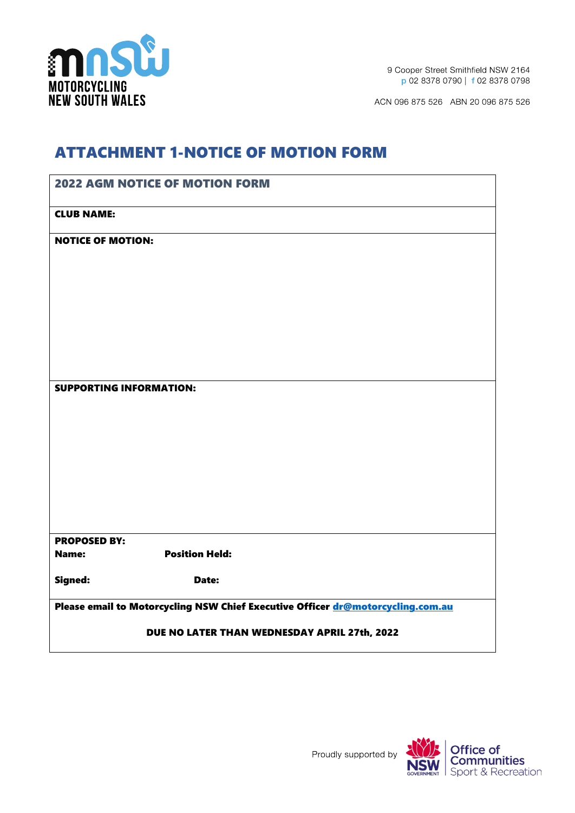

9 Cooper Street Smithfield NSW 2164 p 02 8378 0790 | f 02 8378 0798

ACN 096 875 526 ABN 20 096 875 526

## ATTACHMENT 1-NOTICE OF MOTION FORM

|                                                                                 | <b>2022 AGM NOTICE OF MOTION FORM</b> |  |
|---------------------------------------------------------------------------------|---------------------------------------|--|
| <b>CLUB NAME:</b>                                                               |                                       |  |
| <b>NOTICE OF MOTION:</b>                                                        |                                       |  |
|                                                                                 |                                       |  |
|                                                                                 |                                       |  |
|                                                                                 |                                       |  |
|                                                                                 |                                       |  |
|                                                                                 |                                       |  |
| <b>SUPPORTING INFORMATION:</b>                                                  |                                       |  |
|                                                                                 |                                       |  |
|                                                                                 |                                       |  |
|                                                                                 |                                       |  |
|                                                                                 |                                       |  |
|                                                                                 |                                       |  |
|                                                                                 |                                       |  |
| <b>PROPOSED BY:</b><br>Name:                                                    | <b>Position Held:</b>                 |  |
| Signed:                                                                         | Date:                                 |  |
| Please email to Motorcycling NSW Chief Executive Officer dr@motorcycling.com.au |                                       |  |
| DUE NO LATER THAN WEDNESDAY APRIL 27th, 2022                                    |                                       |  |

Proudly supported by

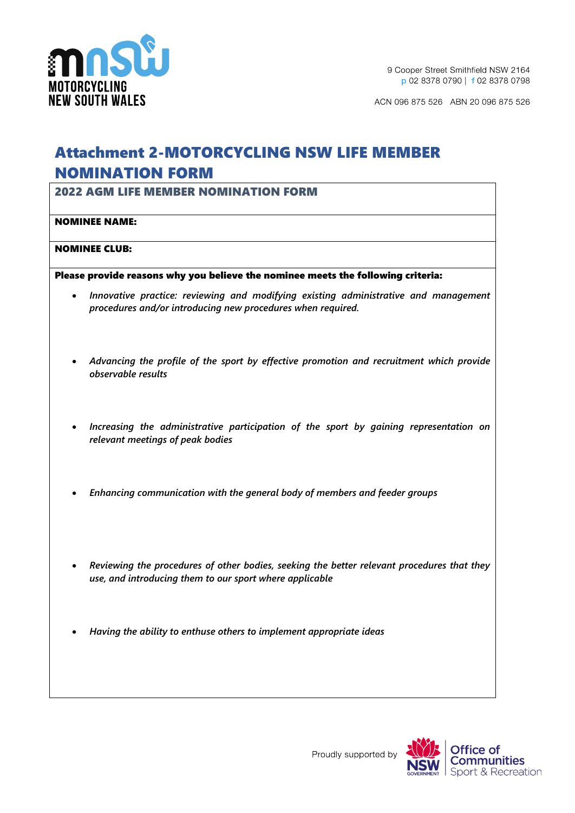

# Attachment 2-MOTORCYCLING NSW LIFE MEMBER NOMINATION FORM

2022 AGM LIFE MEMBER NOMINATION FORM

#### NOMINEE NAME:

#### NOMINEE CLUB:

Please provide reasons why you believe the nominee meets the following criteria:

- *Innovative practice: reviewing and modifying existing administrative and management procedures and/or introducing new procedures when required.*
- *Advancing the profile of the sport by effective promotion and recruitment which provide observable results*
- *Increasing the administrative participation of the sport by gaining representation on relevant meetings of peak bodies*
- *Enhancing communication with the general body of members and feeder groups*
- *Reviewing the procedures of other bodies, seeking the better relevant procedures that they use, and introducing them to our sport where applicable*
- *Having the ability to enthuse others to implement appropriate ideas*